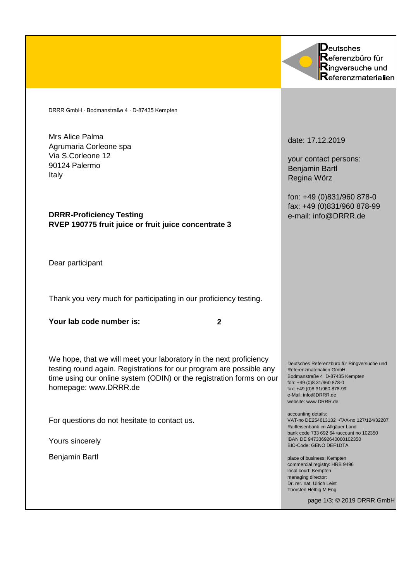DRRR GmbH ∙ Bodmanstraße 4 ∙ D-87435 Kempten

Mrs Alice Palma Agrumaria Corleone spa Via S.Corleone 12 90124 Palermo Italy

**DRRR-Proficiency Testing RVEP 190775 fruit juice or fruit juice concentrate 3**

Dear participant

Thank you very much for participating in our proficiency testing.

**Your lab code number is:**

**2**

We hope, that we will meet your laboratory in the next proficiency testing round again. Registrations for our program are possible any time using our online system (ODIN) or the registration forms on our homepage: www.DRRR.de

For questions do not hesitate to contact us.

Yours sincerely

Benjamin Bartl

Deutsches Referenzbüro für **Ringversuche und**  ${\sf Re}$ ferenzmaterialien

date: 17.12.2019

your contact persons: Benjamin Bartl Regina Wörz

fon: +49 (0)831/960 878-0 fax: +49 (0)831/960 878-99 e-mail: info@DRRR.de

Deutsches Referenzbüro für Ringversuche und Referenzmaterialien GmbH Bodmanstraße 4 D-87435 Kempten fon: +49 (0)8 31/960 878-0 fax: +49 (0)8 31/960 878-99 e-Mail: info@DRRR.de website: www.DRRR.de

accounting details: VAT-no DE254613132 • TAX-no 127/124/32207 Raiffeisenbank im Allgäuer Land bank code 733 692 64 • account no 102350 IBAN DE 94733692640000102350 BIC-Code: GENO DEF1DTA

place of business: Kempten commercial registry: HRB 9496 local court: Kempten managing director: Dr. rer. nat. Ulrich Leist Thorsten Helbig M.Eng.

page 1/3; © 2019 DRRR GmbH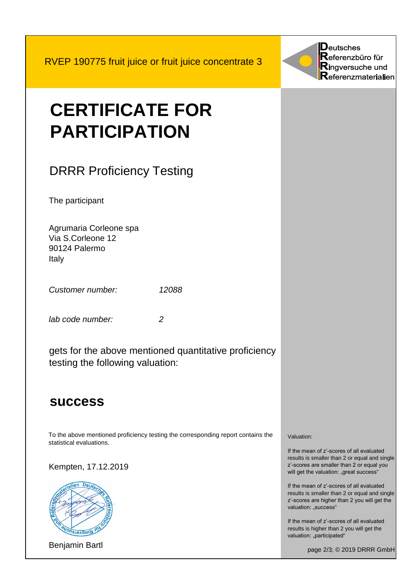RVEP 190775 fruit juice or fruit juice concentrate 3



# DRRR Proficiency Testing

The participant

Agrumaria Corleone spa Via S.Corleone 12 90124 Palermo Italy

*Customer number: 12088*

*lab code number: 2*

gets for the above mentioned quantitative proficiency testing the following valuation:

## **success**

To the above mentioned proficiency testing the corresponding report contains the statistical evaluations.

Kempten, 17.12.2019



Benjamin Bartl

 $\mathbf D$ eutsches  ${\sf Re}$ ferenzbüro für Ringversuche und  $\mathsf{R}$ eferenzmaterialien

Valuation:

If the mean of z'-scores of all evaluated results is smaller than 2 or equal and single z'-scores are smaller than 2 or equal you will get the valuation: "great success"

If the mean of z'-scores of all evaluated results is smaller than 2 or equal and single z'-scores are higher than 2 you will get the valuation: "success"

If the mean of z'-scores of all evaluated results is higher than 2 you will get the valuation: "participated"

page 2/3; © 2019 DRRR GmbH